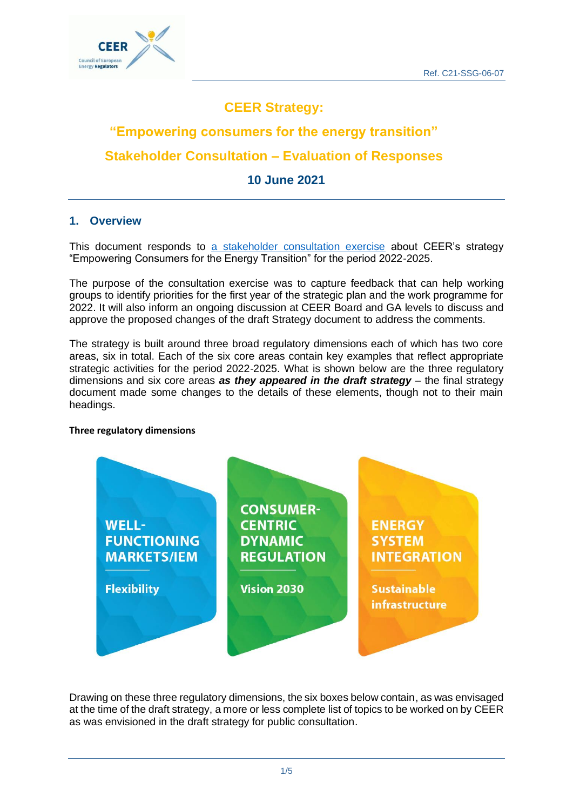

## **CEER Strategy:**

# **"Empowering consumers for the energy transition" Stakeholder Consultation – Evaluation of Responses**

## **10 June 2021**

### **1. Overview**

This document responds to [a stakeholder consultation exercise](https://www.ceer.eu/public-consultation-on-new-strategy) about CEER's strategy "Empowering Consumers for the Energy Transition" for the period 2022-2025.

The purpose of the consultation exercise was to capture feedback that can help working groups to identify priorities for the first year of the strategic plan and the work programme for 2022. It will also inform an ongoing discussion at CEER Board and GA levels to discuss and approve the proposed changes of the draft Strategy document to address the comments.

The strategy is built around three broad regulatory dimensions each of which has two core areas, six in total. Each of the six core areas contain key examples that reflect appropriate strategic activities for the period 2022-2025. What is shown below are the three regulatory dimensions and six core areas *as they appeared in the draft strategy* – the final strategy document made some changes to the details of these elements, though not to their main headings.

#### **Three regulatory dimensions**



Drawing on these three regulatory dimensions, the six boxes below contain, as was envisaged at the time of the draft strategy, a more or less complete list of topics to be worked on by CEER as was envisioned in the draft strategy for public consultation.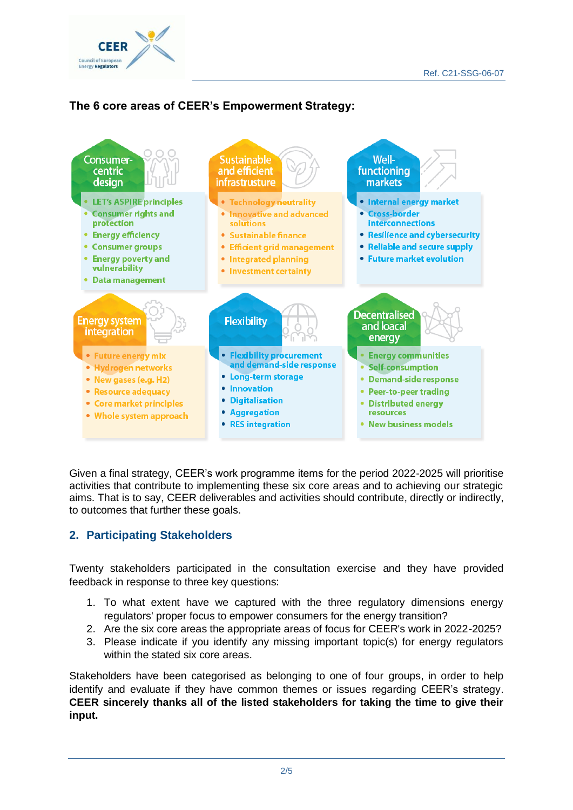

## **The 6 core areas of CEER's Empowerment Strategy:**



Given a final strategy, CEER's work programme items for the period 2022-2025 will prioritise activities that contribute to implementing these six core areas and to achieving our strategic aims. That is to say, CEER deliverables and activities should contribute, directly or indirectly, to outcomes that further these goals.

## **2. Participating Stakeholders**

Twenty stakeholders participated in the consultation exercise and they have provided feedback in response to three key questions:

- 1. To what extent have we captured with the three regulatory dimensions energy regulators' proper focus to empower consumers for the energy transition?
- 2. Are the six core areas the appropriate areas of focus for CEER's work in 2022-2025?
- 3. Please indicate if you identify any missing important topic(s) for energy regulators within the stated six core areas.

Stakeholders have been categorised as belonging to one of four groups, in order to help identify and evaluate if they have common themes or issues regarding CEER's strategy. **CEER sincerely thanks all of the listed stakeholders for taking the time to give their input.**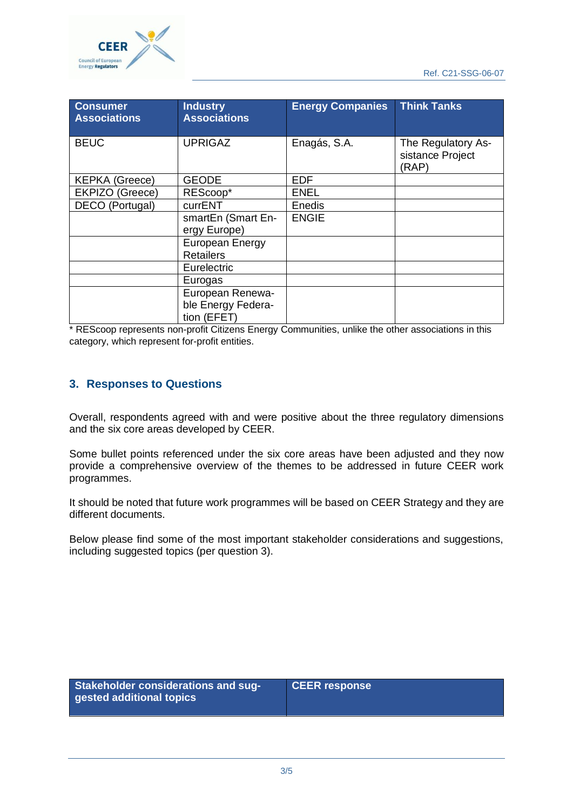

| <b>Consumer</b><br><b>Associations</b> | <b>Industry</b><br><b>Associations</b>                | <b>Energy Companies</b> | <b>Think Tanks</b>                              |
|----------------------------------------|-------------------------------------------------------|-------------------------|-------------------------------------------------|
| <b>BEUC</b>                            | <b>UPRIGAZ</b>                                        | Enagás, S.A.            | The Regulatory As-<br>sistance Project<br>(RAP) |
| <b>KEPKA</b> (Greece)                  | <b>GEODE</b>                                          | <b>EDF</b>              |                                                 |
| EKPIZO (Greece)                        | REScoop*                                              | <b>ENEL</b>             |                                                 |
| DECO (Portugal)                        | currENT                                               | Enedis                  |                                                 |
|                                        | smartEn (Smart En-<br>ergy Europe)                    | <b>ENGIE</b>            |                                                 |
|                                        | European Energy                                       |                         |                                                 |
|                                        | <b>Retailers</b>                                      |                         |                                                 |
|                                        | Eurelectric                                           |                         |                                                 |
|                                        | Eurogas                                               |                         |                                                 |
|                                        | European Renewa-<br>ble Energy Federa-<br>tion (EFET) |                         |                                                 |

\* REScoop represents non-profit Citizens Energy Communities, unlike the other associations in this category, which represent for-profit entities.

#### **3. Responses to Questions**

Overall, respondents agreed with and were positive about the three regulatory dimensions and the six core areas developed by CEER.

Some bullet points referenced under the six core areas have been adjusted and they now provide a comprehensive overview of the themes to be addressed in future CEER work programmes.

It should be noted that future work programmes will be based on CEER Strategy and they are different documents.

Below please find some of the most important stakeholder considerations and suggestions, including suggested topics (per question 3).

| Stakeholder considerations and sug-<br>gested additional topics | <b>CEER response</b> |
|-----------------------------------------------------------------|----------------------|
|-----------------------------------------------------------------|----------------------|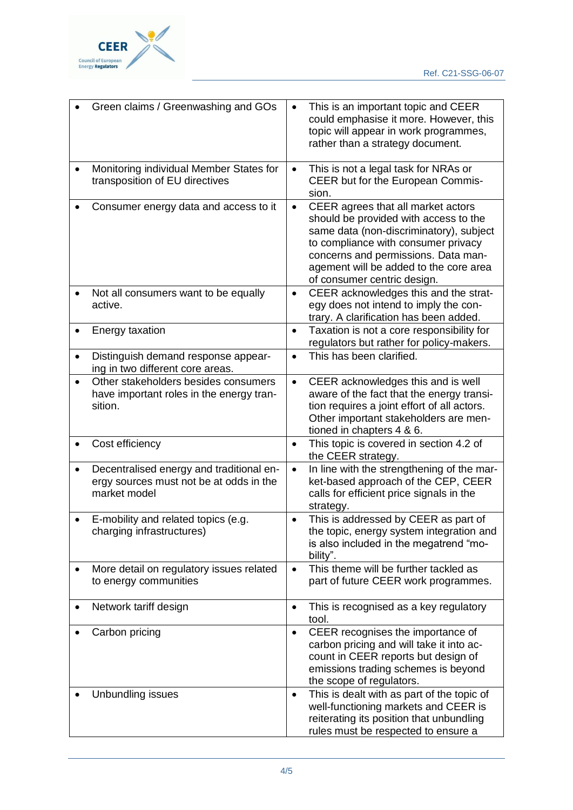

| Green claims / Greenwashing and GOs                                                                              | This is an important topic and CEER<br>could emphasise it more. However, this<br>topic will appear in work programmes,<br>rather than a strategy document.                                                                                                                                 |
|------------------------------------------------------------------------------------------------------------------|--------------------------------------------------------------------------------------------------------------------------------------------------------------------------------------------------------------------------------------------------------------------------------------------|
| Monitoring individual Member States for<br>transposition of EU directives                                        | This is not a legal task for NRAs or<br>$\bullet$<br>CEER but for the European Commis-<br>sion.                                                                                                                                                                                            |
| Consumer energy data and access to it                                                                            | CEER agrees that all market actors<br>$\bullet$<br>should be provided with access to the<br>same data (non-discriminatory), subject<br>to compliance with consumer privacy<br>concerns and permissions. Data man-<br>agement will be added to the core area<br>of consumer centric design. |
| Not all consumers want to be equally<br>active.                                                                  | CEER acknowledges this and the strat-<br>$\bullet$<br>egy does not intend to imply the con-<br>trary. A clarification has been added.                                                                                                                                                      |
| Energy taxation                                                                                                  | Taxation is not a core responsibility for<br>$\bullet$<br>regulators but rather for policy-makers.                                                                                                                                                                                         |
| Distinguish demand response appear-<br>ing in two different core areas.                                          | This has been clarified.                                                                                                                                                                                                                                                                   |
| Other stakeholders besides consumers<br>have important roles in the energy tran-<br>sition.                      | CEER acknowledges this and is well<br>$\bullet$<br>aware of the fact that the energy transi-<br>tion requires a joint effort of all actors.<br>Other important stakeholders are men-<br>tioned in chapters 4 & 6.                                                                          |
| Cost efficiency                                                                                                  | This topic is covered in section 4.2 of<br>$\bullet$<br>the CEER strategy.                                                                                                                                                                                                                 |
| Decentralised energy and traditional en-<br>$\bullet$<br>ergy sources must not be at odds in the<br>market model | In line with the strengthening of the mar-<br>$\bullet$<br>ket-based approach of the CEP, CEER<br>calls for efficient price signals in the<br>strategy.                                                                                                                                    |
| E-mobility and related topics (e.g.<br>charging infrastructures)                                                 | This is addressed by CEER as part of<br>the topic, energy system integration and<br>is also included in the megatrend "mo-<br>bility".                                                                                                                                                     |
| More detail on regulatory issues related<br>$\bullet$<br>to energy communities                                   | This theme will be further tackled as<br>$\bullet$<br>part of future CEER work programmes.                                                                                                                                                                                                 |
| Network tariff design                                                                                            | This is recognised as a key regulatory<br>$\bullet$<br>tool.                                                                                                                                                                                                                               |
| Carbon pricing                                                                                                   | CEER recognises the importance of<br>$\bullet$<br>carbon pricing and will take it into ac-<br>count in CEER reports but design of<br>emissions trading schemes is beyond<br>the scope of regulators.                                                                                       |
| Unbundling issues                                                                                                | This is dealt with as part of the topic of<br>$\bullet$<br>well-functioning markets and CEER is<br>reiterating its position that unbundling<br>rules must be respected to ensure a                                                                                                         |